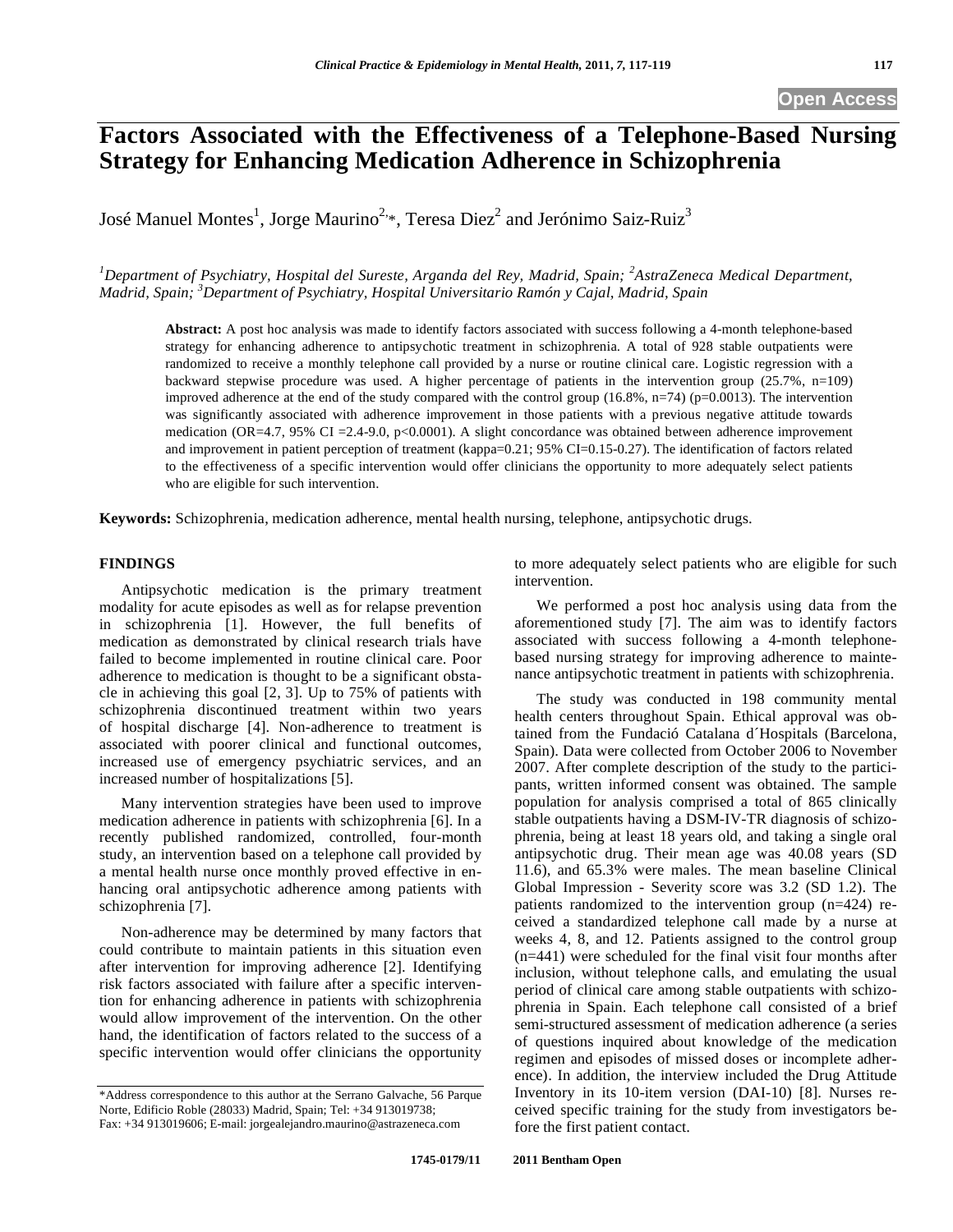# **Factors Associated with the Effectiveness of a Telephone-Based Nursing Strategy for Enhancing Medication Adherence in Schizophrenia**

José Manuel Montes $^1$ , Jorge Maurino $^{2,\ast},$  Teresa Die $\rm z^2$  and Jerónimo Saiz-Rui $\rm z^3$ 

<sup>1</sup>Department of Psychiatry, Hospital del Sureste, Arganda del Rey, Madrid, Spain; <sup>2</sup>AstraZeneca Medical Department, *Madrid, Spain; 3 Department of Psychiatry, Hospital Universitario Ramón y Cajal, Madrid, Spain* 

**Abstract:** A post hoc analysis was made to identify factors associated with success following a 4-month telephone-based strategy for enhancing adherence to antipsychotic treatment in schizophrenia. A total of 928 stable outpatients were randomized to receive a monthly telephone call provided by a nurse or routine clinical care. Logistic regression with a backward stepwise procedure was used. A higher percentage of patients in the intervention group (25.7%, n=109) improved adherence at the end of the study compared with the control group  $(16.8\%, n=74)$  (p=0.0013). The intervention was significantly associated with adherence improvement in those patients with a previous negative attitude towards medication (OR=4.7, 95% CI = 2.4-9.0, p<0.0001). A slight concordance was obtained between adherence improvement and improvement in patient perception of treatment (kappa=0.21; 95% CI=0.15-0.27). The identification of factors related to the effectiveness of a specific intervention would offer clinicians the opportunity to more adequately select patients who are eligible for such intervention.

**Keywords:** Schizophrenia, medication adherence, mental health nursing, telephone, antipsychotic drugs.

## **FINDINGS**

Antipsychotic medication is the primary treatment modality for acute episodes as well as for relapse prevention in schizophrenia [1]. However, the full benefits of medication as demonstrated by clinical research trials have failed to become implemented in routine clinical care. Poor adherence to medication is thought to be a significant obstacle in achieving this goal [2, 3]. Up to 75% of patients with schizophrenia discontinued treatment within two years of hospital discharge [4]. Non-adherence to treatment is associated with poorer clinical and functional outcomes, increased use of emergency psychiatric services, and an increased number of hospitalizations [5].

Many intervention strategies have been used to improve medication adherence in patients with schizophrenia [6]. In a recently published randomized, controlled, four-month study, an intervention based on a telephone call provided by a mental health nurse once monthly proved effective in enhancing oral antipsychotic adherence among patients with schizophrenia [7].

Non-adherence may be determined by many factors that could contribute to maintain patients in this situation even after intervention for improving adherence [2]. Identifying risk factors associated with failure after a specific intervention for enhancing adherence in patients with schizophrenia would allow improvement of the intervention. On the other hand, the identification of factors related to the success of a specific intervention would offer clinicians the opportunity to more adequately select patients who are eligible for such intervention.

We performed a post hoc analysis using data from the aforementioned study [7]. The aim was to identify factors associated with success following a 4-month telephonebased nursing strategy for improving adherence to maintenance antipsychotic treatment in patients with schizophrenia.

The study was conducted in 198 community mental health centers throughout Spain. Ethical approval was obtained from the Fundació Catalana d´Hospitals (Barcelona, Spain). Data were collected from October 2006 to November 2007. After complete description of the study to the participants, written informed consent was obtained. The sample population for analysis comprised a total of 865 clinically stable outpatients having a DSM-IV-TR diagnosis of schizophrenia, being at least 18 years old, and taking a single oral antipsychotic drug. Their mean age was 40.08 years (SD 11.6), and 65.3% were males. The mean baseline Clinical Global Impression - Severity score was 3.2 (SD 1.2). The patients randomized to the intervention group (n=424) received a standardized telephone call made by a nurse at weeks 4, 8, and 12. Patients assigned to the control group (n=441) were scheduled for the final visit four months after inclusion, without telephone calls, and emulating the usual period of clinical care among stable outpatients with schizophrenia in Spain. Each telephone call consisted of a brief semi-structured assessment of medication adherence (a series of questions inquired about knowledge of the medication regimen and episodes of missed doses or incomplete adherence). In addition, the interview included the Drug Attitude Inventory in its 10-item version (DAI-10) [8]. Nurses received specific training for the study from investigators before the first patient contact.

<sup>\*</sup>Address correspondence to this author at the Serrano Galvache, 56 Parque Norte, Edificio Roble (28033) Madrid, Spain; Tel: +34 913019738; Fax: +34 913019606; E-mail: jorgealejandro.maurino@astrazeneca.com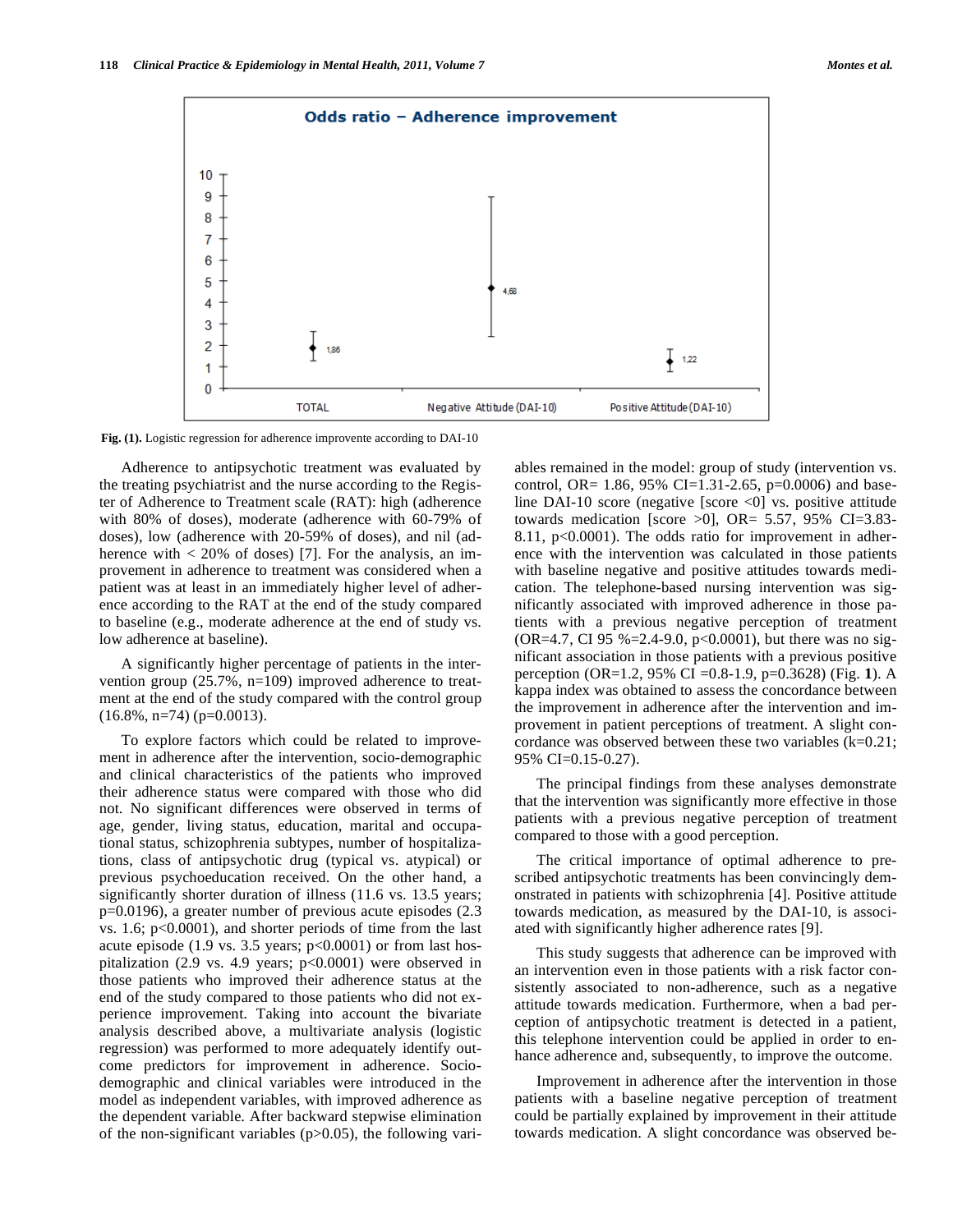

**Fig. (1).** Logistic regression for adherence improvente according to DAI-10

Adherence to antipsychotic treatment was evaluated by the treating psychiatrist and the nurse according to the Register of Adherence to Treatment scale (RAT): high (adherence with 80% of doses), moderate (adherence with 60-79% of doses), low (adherence with 20-59% of doses), and nil (adherence with  $\langle 20\%$  of doses) [7]. For the analysis, an improvement in adherence to treatment was considered when a patient was at least in an immediately higher level of adherence according to the RAT at the end of the study compared to baseline (e.g., moderate adherence at the end of study vs. low adherence at baseline).

A significantly higher percentage of patients in the intervention group (25.7%, n=109) improved adherence to treatment at the end of the study compared with the control group  $(16.8\%, n=74)$  (p=0.0013).

To explore factors which could be related to improvement in adherence after the intervention, socio-demographic and clinical characteristics of the patients who improved their adherence status were compared with those who did not. No significant differences were observed in terms of age, gender, living status, education, marital and occupational status, schizophrenia subtypes, number of hospitalizations, class of antipsychotic drug (typical vs. atypical) or previous psychoeducation received. On the other hand, a significantly shorter duration of illness  $(11.6 \text{ vs. } 13.5 \text{ years})$ p=0.0196), a greater number of previous acute episodes (2.3 vs. 1.6; p<0.0001), and shorter periods of time from the last acute episode (1.9 vs. 3.5 years; p<0.0001) or from last hospitalization (2.9 vs. 4.9 years; p<0.0001) were observed in those patients who improved their adherence status at the end of the study compared to those patients who did not experience improvement. Taking into account the bivariate analysis described above, a multivariate analysis (logistic regression) was performed to more adequately identify outcome predictors for improvement in adherence. Sociodemographic and clinical variables were introduced in the model as independent variables, with improved adherence as the dependent variable. After backward stepwise elimination of the non-significant variables (p>0.05), the following variables remained in the model: group of study (intervention vs. control, OR= 1.86, 95% CI=1.31-2.65, p=0.0006) and baseline DAI-10 score (negative [score <0] vs. positive attitude towards medication [score  $>0$ ], OR= 5.57, 95% CI=3.83-8.11, p<0.0001). The odds ratio for improvement in adherence with the intervention was calculated in those patients with baseline negative and positive attitudes towards medication. The telephone-based nursing intervention was significantly associated with improved adherence in those patients with a previous negative perception of treatment (OR=4.7, CI 95 %=2.4-9.0, p<0.0001), but there was no significant association in those patients with a previous positive perception (OR=1.2, 95% CI =0.8-1.9, p=0.3628) (Fig. **1**). A kappa index was obtained to assess the concordance between the improvement in adherence after the intervention and improvement in patient perceptions of treatment. A slight concordance was observed between these two variables  $(k=0.21)$ ; 95% CI=0.15-0.27).

The principal findings from these analyses demonstrate that the intervention was significantly more effective in those patients with a previous negative perception of treatment compared to those with a good perception.

The critical importance of optimal adherence to prescribed antipsychotic treatments has been convincingly demonstrated in patients with schizophrenia [4]. Positive attitude towards medication, as measured by the DAI-10, is associated with significantly higher adherence rates [9].

This study suggests that adherence can be improved with an intervention even in those patients with a risk factor consistently associated to non-adherence, such as a negative attitude towards medication. Furthermore, when a bad perception of antipsychotic treatment is detected in a patient, this telephone intervention could be applied in order to enhance adherence and, subsequently, to improve the outcome.

Improvement in adherence after the intervention in those patients with a baseline negative perception of treatment could be partially explained by improvement in their attitude towards medication. A slight concordance was observed be-